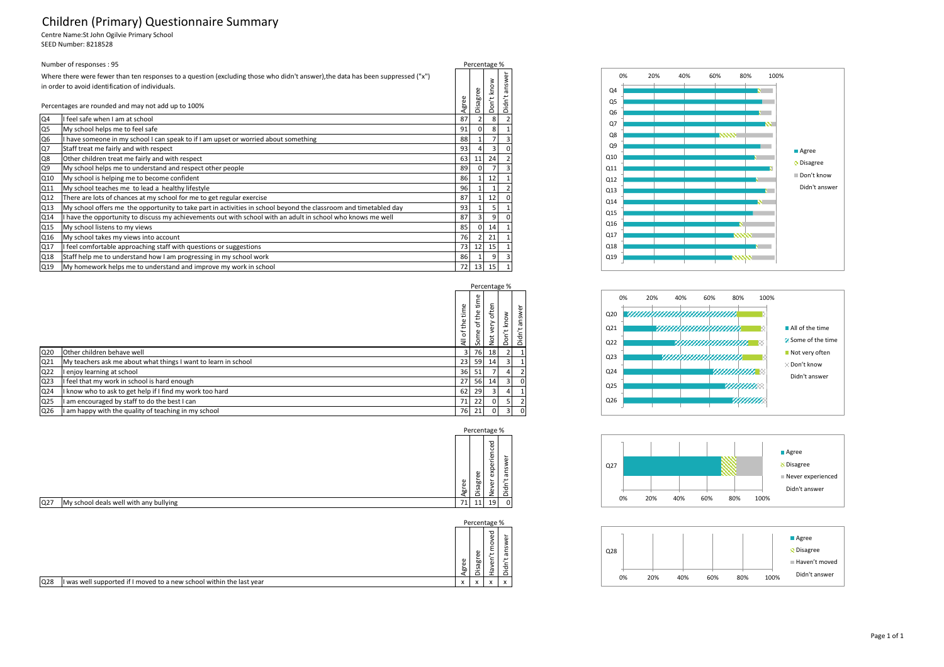## Children (Primary) Questionnaire Summary

Centre Name:St John Ogilvie Primary School

SEED Number: 8218528

| Number of responses: 95                                                 |                                                                                                                                                                                                                                           |    |  |    |                         |  |  |
|-------------------------------------------------------------------------|-------------------------------------------------------------------------------------------------------------------------------------------------------------------------------------------------------------------------------------------|----|--|----|-------------------------|--|--|
|                                                                         | Where there were fewer than ten responses to a question (excluding those who didn't answer), the data has been suppressed ("x")<br>in order to avoid identification of individuals.<br>Percentages are rounded and may not add up to 100% |    |  |    | ৯<br>nsw<br>π<br>ť<br>ä |  |  |
| Q4                                                                      | I feel safe when I am at school                                                                                                                                                                                                           | 87 |  | 8  |                         |  |  |
| Q5                                                                      | My school helps me to feel safe                                                                                                                                                                                                           |    |  |    |                         |  |  |
| Q6                                                                      | I have someone in my school I can speak to if I am upset or worried about something                                                                                                                                                       |    |  |    |                         |  |  |
| Q7                                                                      | Staff treat me fairly and with respect                                                                                                                                                                                                    |    |  |    |                         |  |  |
| Q8                                                                      | Other children treat me fairly and with respect                                                                                                                                                                                           |    |  |    |                         |  |  |
| Q9                                                                      | My school helps me to understand and respect other people                                                                                                                                                                                 |    |  |    |                         |  |  |
| Q10                                                                     | My school is helping me to become confident                                                                                                                                                                                               |    |  |    |                         |  |  |
| Q11                                                                     | My school teaches me to lead a healthy lifestyle                                                                                                                                                                                          | 96 |  |    |                         |  |  |
| Q12                                                                     | There are lots of chances at my school for me to get regular exercise                                                                                                                                                                     | 87 |  | 12 |                         |  |  |
| Q13                                                                     | My school offers me the opportunity to take part in activities in school beyond the classroom and timetabled day                                                                                                                          | 93 |  |    |                         |  |  |
| Q14                                                                     | I have the opportunity to discuss my achievements out with school with an adult in school who knows me well                                                                                                                               | 87 |  | 9  |                         |  |  |
| Q15                                                                     | My school listens to my views                                                                                                                                                                                                             | 85 |  | 14 |                         |  |  |
| Q16                                                                     | My school takes my views into account                                                                                                                                                                                                     |    |  |    |                         |  |  |
| Q17                                                                     | I feel comfortable approaching staff with questions or suggestions                                                                                                                                                                        |    |  |    |                         |  |  |
| Q18                                                                     | Staff help me to understand how I am progressing in my school work                                                                                                                                                                        |    |  |    |                         |  |  |
| Q19<br>My homework helps me to understand and improve my work in school |                                                                                                                                                                                                                                           |    |  |    |                         |  |  |

|                 |                                                                |                       |                              | Percentage %             |                         |                                          |
|-----------------|----------------------------------------------------------------|-----------------------|------------------------------|--------------------------|-------------------------|------------------------------------------|
|                 |                                                                | Φ<br>È<br>of the<br>₹ | time<br>the<br>৳<br>me<br>္တ | often<br>yery<br>tó<br>z | know<br>٣<br>g<br>۵     | Φ<br><b>in</b><br>ത<br>ىر<br>ᢦ<br>$\cap$ |
| Q20             | Other children behave well                                     | 3                     | 76                           | 18                       | 2                       |                                          |
| Q <sub>21</sub> | My teachers ask me about what things I want to learn in school | 23                    | 59                           | 14                       | 3                       |                                          |
| Q22             | enjoy learning at school                                       | 36                    | 51                           |                          | 4                       |                                          |
| Q <sub>23</sub> | I feel that my work in school is hard enough                   | 27                    | 56                           | 14                       | 3                       |                                          |
| Q <sub>24</sub> | I know who to ask to get help if I find my work too hard       | 62                    | 29                           |                          | 4                       |                                          |
| Q25             | am encouraged by staff to do the best I can                    | 71                    | 22                           |                          | 5                       |                                          |
| Q26             | am happy with the quality of teaching in my school             | 76                    | 21                           |                          | $\overline{\mathbf{3}}$ |                                          |



|                 |                                                                      | Φ<br>Φ<br>∼<br>ōo   | $\mathbf \omega$<br>$\omega$<br>ᆱ<br>ത<br>$\mathbf{v}$<br>$=$ | ▿<br>$\omega$<br>$\circ$<br>ى<br>눕<br>ത | π |  |
|-----------------|----------------------------------------------------------------------|---------------------|---------------------------------------------------------------|-----------------------------------------|---|--|
| Q <sub>28</sub> | I was well supported if I moved to a new school within the last year | $\lambda$<br>$\sim$ | $\lambda$                                                     | $\ddot{\phantom{0}}$                    |   |  |







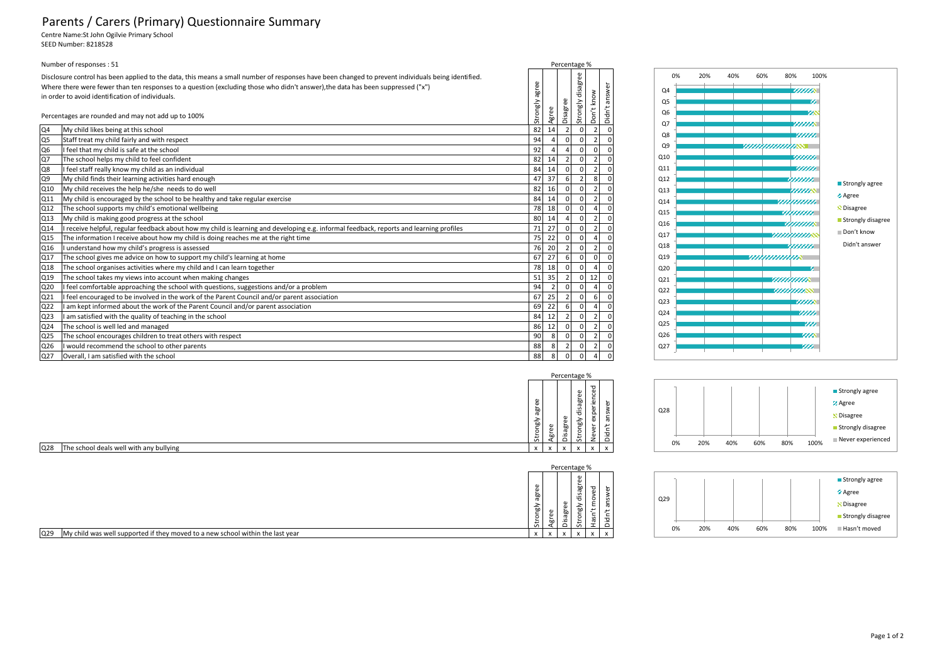## Parents / Carers (Primary) Questionnaire Summary

Centre Name:St John Ogilvie Primary School SEED Number: 8218528

| Number of responses: 51 |                                                                                                                                                                                                                                                                                                                                                                  |          |      |                |                | Percentage %   |        |
|-------------------------|------------------------------------------------------------------------------------------------------------------------------------------------------------------------------------------------------------------------------------------------------------------------------------------------------------------------------------------------------------------|----------|------|----------------|----------------|----------------|--------|
|                         | Disclosure control has been applied to the data, this means a small number of responses have been changed to prevent individuals being identified.<br>$\omega$<br>Where there were fewer than ten responses to a question (excluding those who didn't answer), the data has been suppressed ("x")<br>š<br>āε<br>in order to avoid identification of individuals. |          |      |                |                |                | ō<br>₹ |
|                         | Percentages are rounded and may not add up to 100%                                                                                                                                                                                                                                                                                                               | Strongly | Agre | Disagre        | strongly       | Don'           | ā      |
| Q4                      | My child likes being at this school                                                                                                                                                                                                                                                                                                                              | 82       | 14   |                | $\Omega$       | $\overline{2}$ |        |
| Q5                      | Staff treat my child fairly and with respect                                                                                                                                                                                                                                                                                                                     | 94       |      | $\Omega$       | <sup>0</sup>   | $\overline{2}$ |        |
| Q6                      | feel that my child is safe at the school                                                                                                                                                                                                                                                                                                                         | 92       |      |                | $\Omega$       | $\Omega$       |        |
| Q7                      | The school helps my child to feel confident                                                                                                                                                                                                                                                                                                                      | 82       | 14   | $\overline{2}$ | $\Omega$       | $\overline{2}$ |        |
| Q8                      | I feel staff really know my child as an individual                                                                                                                                                                                                                                                                                                               | 84       | 14   | $\Omega$       | $\Omega$       | $\overline{2}$ |        |
| Q9                      | My child finds their learning activities hard enough                                                                                                                                                                                                                                                                                                             | 47       | 37   | 6              | $\overline{2}$ | 8              |        |
| Q10                     | My child receives the help he/she needs to do well                                                                                                                                                                                                                                                                                                               | 82       | 16   | $\Omega$       | $\Omega$       | $\overline{2}$ |        |
| Q11                     | My child is encouraged by the school to be healthy and take regular exercise                                                                                                                                                                                                                                                                                     | 84       | 14   | $\Omega$       | 0              | $\overline{2}$ |        |
| Q12                     | The school supports my child's emotional wellbeing                                                                                                                                                                                                                                                                                                               | 78       | 18   | $\Omega$       | $\Omega$       | $\overline{a}$ |        |
| Q13                     | My child is making good progress at the school                                                                                                                                                                                                                                                                                                                   | 80       | 14   |                | 0              | $\overline{2}$ |        |
| Q14                     | I receive helpful, regular feedback about how my child is learning and developing e.g. informal feedback, reports and learning profiles                                                                                                                                                                                                                          | 71       | 27   | $\Omega$       | $\Omega$       | $\overline{2}$ |        |
| Q15                     | The information I receive about how my child is doing reaches me at the right time                                                                                                                                                                                                                                                                               | 75       | 22   | $\Omega$       |                |                |        |
| Q16                     | I understand how my child's progress is assessed                                                                                                                                                                                                                                                                                                                 | 76       | 20   | $\overline{2}$ | $\Omega$       | $\overline{2}$ |        |
| Q17                     | The school gives me advice on how to support my child's learning at home                                                                                                                                                                                                                                                                                         | 67       | 27   | 6              | <sup>0</sup>   | $\Omega$       |        |
| Q18                     | The school organises activities where my child and I can learn together                                                                                                                                                                                                                                                                                          | 78       | 18   | $\Omega$       | $\Omega$       | 4              |        |
| Q19                     | The school takes my views into account when making changes                                                                                                                                                                                                                                                                                                       | 51       | 35   |                | $\Omega$       | 12             |        |
| Q20                     | feel comfortable approaching the school with questions, suggestions and/or a problem                                                                                                                                                                                                                                                                             | 94       |      | $\Omega$       |                | $\Delta$       |        |
| Q21                     | feel encouraged to be involved in the work of the Parent Council and/or parent association                                                                                                                                                                                                                                                                       | 67       | 25   | $\overline{2}$ | $\Omega$       | 6              |        |
| Q22                     | am kept informed about the work of the Parent Council and/or parent association                                                                                                                                                                                                                                                                                  | 69       | 22   | 6              | 0              | $\overline{4}$ |        |
| Q23                     | am satisfied with the quality of teaching in the school                                                                                                                                                                                                                                                                                                          | 84       | 12   |                | $\Omega$       | $\overline{2}$ |        |
| Q24                     | The school is well led and managed                                                                                                                                                                                                                                                                                                                               | 86       | 12   | $\Omega$       | <sup>0</sup>   | $\overline{2}$ |        |
| Q25                     | The school encourages children to treat others with respect                                                                                                                                                                                                                                                                                                      | 90       |      | $\Omega$       | $\Omega$       | $\overline{2}$ |        |
| Q26                     | I would recommend the school to other parents                                                                                                                                                                                                                                                                                                                    | 88       |      | $\overline{2}$ | $\Omega$       | $\overline{2}$ |        |
| Q27                     | Overall. I am satisfied with the school                                                                                                                                                                                                                                                                                                                          | 88       | 8    | $\mathbf 0$    | $\Omega$       | 4              | 0      |

| 0%              | 20% | 40% | 60% | 80%                 | 100%                        |  |
|-----------------|-----|-----|-----|---------------------|-----------------------------|--|
| Q4              |     |     |     |                     | www                         |  |
| Q5              |     |     |     |                     | ×                           |  |
| Q <sub>6</sub>  |     |     |     |                     | m                           |  |
| Q7              |     |     |     |                     | mm                          |  |
| Q8              |     |     |     |                     | mm                          |  |
| Q9              |     |     |     | w <i>www.</i> ww    |                             |  |
| Q10             |     |     |     |                     | www                         |  |
| Q11             |     |     |     |                     | mm                          |  |
| Q12             |     |     |     | mm                  |                             |  |
| Q13             |     |     |     |                     | ■ Strongly agree<br>$\,m\,$ |  |
| Q14             |     |     |     | www                 | Agree                       |  |
| Q15             |     |     |     |                     | <b>C</b> Disagree           |  |
| Q16             |     |     |     | mmm                 | Strongly disagree           |  |
| Q17             |     |     |     | www.wa              | Don't know                  |  |
| Q18             |     |     |     | www.                | Didn't answer               |  |
| Q19             |     |     |     | <u>inimimimi</u>    |                             |  |
| Q <sub>20</sub> |     |     |     |                     | n.                          |  |
| Q21             |     |     |     | <i>viitiviit</i> in |                             |  |
| Q22             |     |     |     | www                 |                             |  |
| Q <sub>23</sub> |     |     |     |                     | <b>MAN</b>                  |  |
| Q24             |     |     |     |                     | m                           |  |
| Q25             |     |     |     |                     | m                           |  |
| Q26             |     |     |     |                     | ww                          |  |
| Q27             |     |     |     |                     | m                           |  |

|     |                                         |                                                                  |                           |                                                           | Percentage %                               |                                           |                                    |  |
|-----|-----------------------------------------|------------------------------------------------------------------|---------------------------|-----------------------------------------------------------|--------------------------------------------|-------------------------------------------|------------------------------------|--|
|     |                                         | ω<br>$\mathbf{a}$<br>∼<br><b>bo</b><br>ത<br>ngly<br>$\circ$<br>녽 |                           | Φ<br>$\omega$<br>`<br>$\overline{50}$<br>ā<br>S<br>$\cup$ | $\mathbf \omega$<br>Φ<br>disagr<br>흥<br>5x | ு<br>experience<br>৯<br>3<br>$\mathbf{z}$ | ৯<br>ansv<br>ب<br>idn'<br>$\Omega$ |  |
| Q28 | The school deals well with any bullying | $\mathbf{x}$                                                     | $\boldsymbol{\mathsf{x}}$ | x                                                         | $\mathbf{v}$                               | x                                         |                                    |  |



| ō<br>∼<br>ಕ<br>$\lambda$ | $\omega$<br>듮 | ு<br>$\check{}$<br>л | ৯<br>⋍<br>≖<br>Û.<br>$\sim$ | ∽<br>æ<br>$\lambda$<br>$\lambda$         | $\mathbf{C}$<br>ᅙ<br>$\Box$<br>$\lambda$<br>$\lambda$ |                 | 0% | 20% | 40% | 60% | 80% | 100% | Strongly disagree<br>Hasn't moved |
|--------------------------|---------------|----------------------|-----------------------------|------------------------------------------|-------------------------------------------------------|-----------------|----|-----|-----|-----|-----|------|-----------------------------------|
| σ<br>ᇟ<br>-<br><u>.</u>  | Φ             | æ<br>agr             | ਠ<br>खे                     | ۰<br>∽<br>ى<br>$\ddot{\phantom{1}}$<br>- | Ω<br>ਨੋ<br>$\overline{\phantom{0}}$<br>÷              | Q <sub>29</sub> |    |     |     |     |     |      | N Disagree                        |
| Φ<br>ᆱ                   |               |                      | ೫<br>S<br>                  | ᄝ                                        | ∼<br>$\mathbf \omega$<br>š                            |                 |    |     |     |     |     |      | <b>SAgree</b>                     |
| Φ                        |               |                      | $\omega$<br>Φ<br>∽          |                                          |                                                       |                 |    |     |     |     |     |      | Strongly agree                    |
|                          |               |                      |                             |                                          |                                                       |                 |    |     |     |     |     |      |                                   |

|                                                                                       |                                         |                    | Percentage %                 |                                                   |  |
|---------------------------------------------------------------------------------------|-----------------------------------------|--------------------|------------------------------|---------------------------------------------------|--|
|                                                                                       | œ<br>᠊ᡣᠦ<br>ᇟ<br>-<br>∼<br>ō<br>≖<br>Ö. | Φ<br>$\omega$<br>ᆱ | Φ<br>Йã<br>S<br>$\cdot$<br>◡ | $\mathbf{a}$<br>α.<br>b<br>ā<br>$\mathbf{v}$<br>b |  |
| Q29<br>My child was well supported if they moved to a new school within the last year |                                         |                    |                              |                                                   |  |

Strongly agree